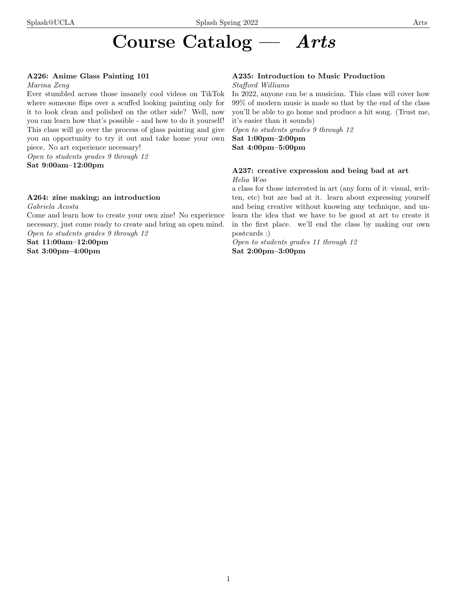# Course Catalog — Arts

# A226: Anime Glass Painting 101

#### Marina Zeng

Ever stumbled across those insanely cool videos on TikTok where someone flips over a scuffed looking painting only for it to look clean and polished on the other side? Well, now you can learn how that's possible - and how to do it yourself! This class will go over the process of glass painting and give you an opportunity to try it out and take home your own piece. No art experience necessary!

Open to students grades 9 through 12 Sat 9:00am–12:00pm

# A264: zine making; an introduction

Gabriela Acosta

Come and learn how to create your own zine! No experience necessary, just come ready to create and bring an open mind. Open to students grades 9 through 12

Sat 11:00am–12:00pm

Sat 3:00pm–4:00pm

# A235: Introduction to Music Production

### Stafford Williams

In 2022, anyone can be a musician. This class will cover how 99% of modern music is made so that by the end of the class you'll be able to go home and produce a hit song. (Trust me, it's easier than it sounds)

Open to students grades 9 through 12 Sat 1:00pm–2:00pm

Sat 4:00pm–5:00pm

# A237: creative expression and being bad at art Helia Woo

a class for those interested in art (any form of it–visual, written, etc) but are bad at it. learn about expressing yourself and being creative without knowing any technique, and unlearn the idea that we have to be good at art to create it in the first place. we'll end the class by making our own postcards :)

Open to students grades 11 through 12 Sat 2:00pm–3:00pm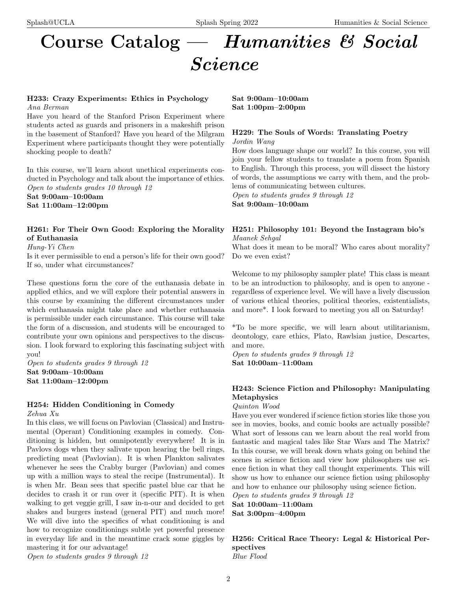# Course Catalog — Humanities & Social

# Science

# H233: Crazy Experiments: Ethics in Psychology Ana Berman

Have you heard of the Stanford Prison Experiment where students acted as guards and prisoners in a makeshift prison in the basement of Stanford? Have you heard of the Milgram Experiment where participants thought they were potentially shocking people to death?

In this course, we'll learn about unethical experiments conducted in Psychology and talk about the importance of ethics. Open to students grades 10 through 12 Sat 9:00am–10:00am Sat 11:00am–12:00pm

# H261: For Their Own Good: Exploring the Morality of Euthanasia

Hung-Yi Chen

Is it ever permissible to end a person's life for their own good? If so, under what circumstances?

These questions form the core of the euthanasia debate in applied ethics, and we will explore their potential answers in this course by examining the different circumstances under which euthanasia might take place and whether euthanasia is permissible under each circumstance. This course will take the form of a discussion, and students will be encouraged to contribute your own opinions and perspectives to the discussion. I look forward to exploring this fascinating subject with you!

Open to students grades 9 through 12 Sat 9:00am–10:00am Sat 11:00am–12:00pm

# H254: Hidden Conditioning in Comedy

Zehua Xu

In this class, we will focus on Pavlovian (Classical) and Instrumental (Operant) Conditioning examples in comedy. Conditioning is hidden, but omnipotently everywhere! It is in Pavlovs dogs when they salivate upon hearing the bell rings, predicting meat (Pavlovian). It is when Plankton salivates whenever he sees the Crabby burger (Pavlovian) and comes up with a million ways to steal the recipe (Instrumental). It is when Mr. Bean sees that specific pastel blue car that he decides to crash it or run over it (specific PIT). It is when walking to get veggie grill, I saw in-n-our and decided to get shakes and burgers instead (general PIT) and much more! We will dive into the specifics of what conditioning is and how to recognize conditionings subtle yet powerful presence in everyday life and in the meantime crack some giggles by mastering it for our advantage!

Open to students grades 9 through 12

Sat 9:00am–10:00am Sat 1:00pm–2:00pm

# H229: The Souls of Words: Translating Poetry

Jordin Wang

How does language shape our world? In this course, you will join your fellow students to translate a poem from Spanish to English. Through this process, you will dissect the history of words, the assumptions we carry with them, and the problems of communicating between cultures.

Open to students grades 9 through 12

Sat 9:00am–10:00am

# H251: Philosophy 101: Beyond the Instagram bio's Maanek Sehgal

What does it mean to be moral? Who cares about morality? Do we even exist?

Welcome to my philosophy sampler plate! This class is meant to be an introduction to philosophy, and is open to anyone regardless of experience level. We will have a lively discussion of various ethical theories, political theories, existentialists, and more\*. I look forward to meeting you all on Saturday!

\*To be more specific, we will learn about utilitarianism, deontology, care ethics, Plato, Rawlsian justice, Descartes, and more.

Open to students grades 9 through 12 Sat 10:00am–11:00am

# H243: Science Fiction and Philosophy: Manipulating Metaphysics

Quinton Wood

Have you ever wondered if science fiction stories like those you see in movies, books, and comic books are actually possible? What sort of lessons can we learn about the real world from fantastic and magical tales like Star Wars and The Matrix? In this course, we will break down whats going on behind the scenes in science fiction and view how philosophers use science fiction in what they call thought experiments. This will show us how to enhance our science fiction using philosophy and how to enhance our philosophy using science fiction.

Open to students grades 9 through 12

Sat 10:00am–11:00am Sat 3:00pm–4:00pm

H256: Critical Race Theory: Legal & Historical Perspectives Blue Flood

2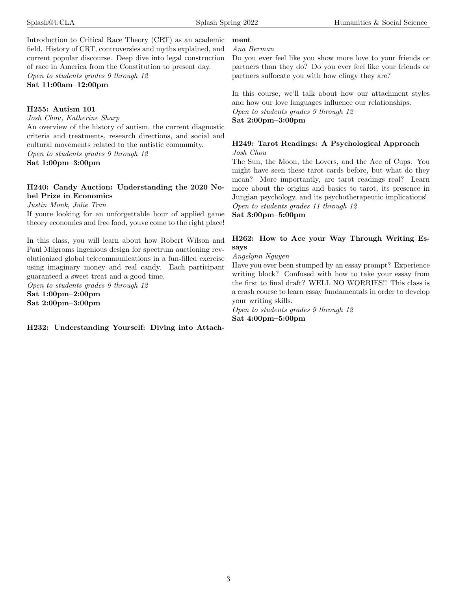Introduction to Critical Race Theory (CRT) as an academic field. History of CRT, controversies and myths explained, and current popular discourse. Deep dive into legal construction of race in America from the Constitution to present day. Open to students grades 9 through 12

Sat 11:00am–12:00pm

#### H255: Autism 101

Josh Chou, Katherine Sharp

An overview of the history of autism, the current diagnostic criteria and treatments, research directions, and social and cultural movements related to the autistic community. Open to students grades 9 through 12

Sat 1:00pm–3:00pm

# H240: Candy Auction: Understanding the 2020 Nobel Prize in Economics

Justin Monk, Julie Tran

If youre looking for an unforgettable hour of applied game theory economics and free food, youve come to the right place!

In this class, you will learn about how Robert Wilson and Paul Milgroms ingenious design for spectrum auctioning revolutionized global telecommunications in a fun-filled exercise using imaginary money and real candy. Each participant guaranteed a sweet treat and a good time.

Open to students grades 9 through 12 Sat 1:00pm–2:00pm Sat 2:00pm–3:00pm

H232: Understanding Yourself: Diving into Attach-

# Ana Berman

ment

Do you ever feel like you show more love to your friends or partners than they do? Do you ever feel like your friends or partners suffocate you with how clingy they are?

In this course, we'll talk about how our attachment styles and how our love languages influence our relationships. Open to students grades 9 through 12 Sat 2:00pm–3:00pm

### H249: Tarot Readings: A Psychological Approach Josh Chou

The Sun, the Moon, the Lovers, and the Ace of Cups. You might have seen these tarot cards before, but what do they mean? More importantly, are tarot readings real? Learn more about the origins and basics to tarot, its presence in Jungian psychology, and its psychotherapeutic implications! Open to students grades 11 through 12

Sat 3:00pm–5:00pm

# H262: How to Ace your Way Through Writing Essays

Angelynn Nguyen

Have you ever been stumped by an essay prompt? Experience writing block? Confused with how to take your essay from the first to final draft? WELL NO WORRIES!! This class is a crash course to learn essay fundamentals in order to develop your writing skills.

Open to students grades 9 through 12 Sat 4:00pm–5:00pm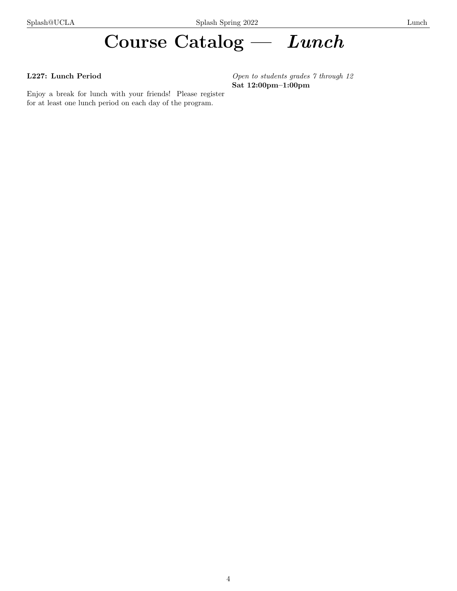# Course Catalog — Lunch

# L227: Lunch Period

Enjoy a break for lunch with your friends! Please register for at least one lunch period on each day of the program.

Open to students grades 7 through 12 Sat 12:00pm–1:00pm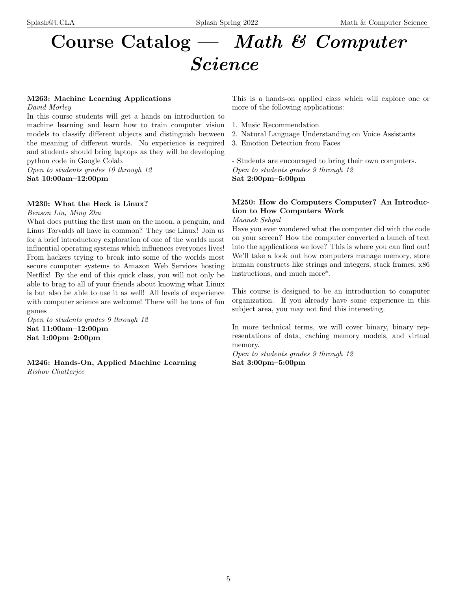# Course Catalog — Math & Computer Science

# M263: Machine Learning Applications

David Morley

In this course students will get a hands on introduction to machine learning and learn how to train computer vision models to classify different objects and distinguish between the meaning of different words. No experience is required and students should bring laptops as they will be developing python code in Google Colab.

Open to students grades 10 through 12 Sat 10:00am–12:00pm

#### M230: What the Heck is Linux?

Benson Liu, Ming Zhu

What does putting the first man on the moon, a penguin, and Linus Torvalds all have in common? They use Linux! Join us for a brief introductory exploration of one of the worlds most influential operating systems which influences everyones lives! From hackers trying to break into some of the worlds most secure computer systems to Amazon Web Services hosting Netflix! By the end of this quick class, you will not only be able to brag to all of your friends about knowing what Linux is but also be able to use it as well! All levels of experience with computer science are welcome! There will be tons of fun games

Open to students grades 9 through 12 Sat 11:00am–12:00pm Sat 1:00pm–2:00pm

M246: Hands-On, Applied Machine Learning Rishov Chatterjee

This is a hands-on applied class which will explore one or more of the following applications:

- 1. Music Recommendation
- 2. Natural Language Understanding on Voice Assistants
- 3. Emotion Detection from Faces

- Students are encouraged to bring their own computers. Open to students grades 9 through 12 Sat 2:00pm–5:00pm

# M250: How do Computers Computer? An Introduction to How Computers Work

Maanek Sehgal

Have you ever wondered what the computer did with the code on your screen? How the computer converted a bunch of text into the applications we love? This is where you can find out! We'll take a look out how computers manage memory, store human constructs like strings and integers, stack frames,  $x86$ instructions, and much more\*.

This course is designed to be an introduction to computer organization. If you already have some experience in this subject area, you may not find this interesting.

In more technical terms, we will cover binary, binary representations of data, caching memory models, and virtual memory.

Open to students grades 9 through 12 Sat 3:00pm–5:00pm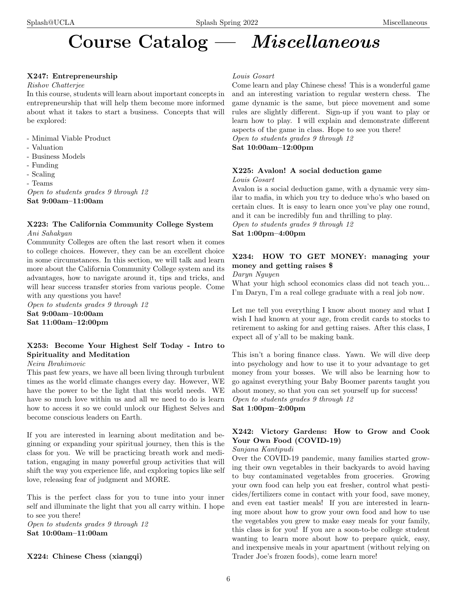# Course Catalog — Miscellaneous

# X247: Entrepreneurship

#### Rishov Chatterjee

In this course, students will learn about important concepts in entrepreneurship that will help them become more informed about what it takes to start a business. Concepts that will be explored:

- Minimal Viable Product
- Valuation
- Business Models
- Funding
- Scaling
- Teams

Open to students grades 9 through 12 Sat 9:00am–11:00am

### X223: The California Community College System Ani Sahakyan

Community Colleges are often the last resort when it comes to college choices. However, they can be an excellent choice in some circumstances. In this section, we will talk and learn more about the California Community College system and its advantages, how to navigate around it, tips and tricks, and will hear success transfer stories from various people. Come

with any questions you have! Open to students grades 9 through 12 Sat 9:00am–10:00am Sat 11:00am–12:00pm

# X253: Become Your Highest Self Today - Intro to Spirituality and Meditation

# Neira Ibrahimovic

This past few years, we have all been living through turbulent times as the world climate changes every day. However, WE have the power to be the light that this world needs. WE have so much love within us and all we need to do is learn how to access it so we could unlock our Highest Selves and become conscious leaders on Earth.

If you are interested in learning about meditation and beginning or expanding your spiritual journey, then this is the class for you. We will be practicing breath work and meditation, engaging in many powerful group activities that will shift the way you experience life, and exploring topics like self love, releasing fear of judgment and MORE.

This is the perfect class for you to tune into your inner self and illuminate the light that you all carry within. I hope to see you there!

Open to students grades 9 through 12 Sat 10:00am–11:00am

# Louis Gosart

Come learn and play Chinese chess! This is a wonderful game and an interesting variation to regular western chess. The game dynamic is the same, but piece movement and some rules are slightly different. Sign-up if you want to play or learn how to play. I will explain and demonstrate different aspects of the game in class. Hope to see you there! Open to students grades 9 through 12 Sat 10:00am–12:00pm

#### X225: Avalon! A social deduction game Louis Gosart

Avalon is a social deduction game, with a dynamic very similar to mafia, in which you try to deduce who's who based on certain clues. It is easy to learn once you've play one round, and it can be incredibly fun and thrilling to play.

Open to students grades 9 through 12 Sat 1:00pm–4:00pm

# X234: HOW TO GET MONEY: managing your money and getting raises \$

Daryn Nguyen

What your high school economics class did not teach you... I'm Daryn, I'm a real college graduate with a real job now.

Let me tell you everything I know about money and what I wish I had known at your age, from credit cards to stocks to retirement to asking for and getting raises. After this class, I expect all of y'all to be making bank.

This isn't a boring finance class. Yawn. We will dive deep into psychology and how to use it to your advantage to get money from your bosses. We will also be learning how to go against everything your Baby Boomer parents taught you about money, so that you can set yourself up for success! Open to students grades 9 through 12

Sat 1:00pm–2:00pm

# X242: Victory Gardens: How to Grow and Cook Your Own Food (COVID-19)

# Sanjana Kantipudi

Over the COVID-19 pandemic, many families started growing their own vegetables in their backyards to avoid having to buy contaminated vegetables from groceries. Growing your own food can help you eat fresher, control what pesticides/fertilizers come in contact with your food, save money, and even eat tastier meals! If you are interested in learning more about how to grow your own food and how to use the vegetables you grew to make easy meals for your family, this class is for you! If you are a soon-to-be college student wanting to learn more about how to prepare quick, easy, and inexpensive meals in your apartment (without relying on Trader Joe's frozen foods), come learn more!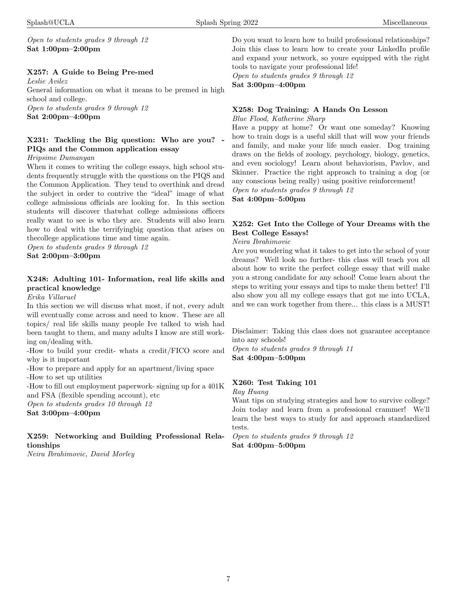Open to students grades 9 through 12 Sat 1:00pm–2:00pm

### X257: A Guide to Being Pre-med

Leslie Avilez General information on what it means to be premed in high school and college.

Open to students grades 9 through 12 Sat 2:00pm–4:00pm

# $X231:$  Tackling the Big question: Who are you? PIQs and the Common application essay

Hripsime Dumanyan

When it comes to writing the college essays, high school students frequently struggle with the questions on the PIQS and the Common Application. They tend to overthink and dread the subject in order to contrive the "ideal" image of what college admissions officials are looking for. In this section students will discover thatwhat college admissions officers really want to see is who they are. Students will also learn how to deal with the terrifyingbig question that arises on thecollege applications time and time again.

Open to students grades 9 through 12 Sat 2:00pm–3:00pm

# X248: Adulting 101- Information, real life skills and practical knowledge

Erika Villaruel

In this section we will discuss what most, if not, every adult will eventually come across and need to know. These are all topics/ real life skills many people Ive talked to wish had been taught to them, and many adults I know are still working on/dealing with.

-How to build your credit- whats a credit/FICO score and why is it important

-How to prepare and apply for an apartment/living space -How to set up utilities

-How to fill out employment paperwork- signing up for a 401K and FSA (flexible spending account), etc

Open to students grades 10 through 12

Sat 3:00pm–4:00pm

# X259: Networking and Building Professional Relationships

Neira Ibrahimovic, David Morley

Do you want to learn how to build professional relationships? Join this class to learn how to create your LinkedIn profile and expand your network, so youre equipped with the right tools to navigate your professional life!

Open to students grades 9 through 12 Sat 3:00pm–4:00pm

# X258: Dog Training: A Hands On Lesson

#### Blue Flood, Katherine Sharp

Have a puppy at home? Or want one someday? Knowing how to train dogs is a useful skill that will wow your friends and family, and make your life much easier. Dog training draws on the fields of zoology, psychology, biology, genetics, and even sociology! Learn about behaviorism, Pavlov, and Skinner. Practice the right approach to training a dog (or any conscious being really) using positive reinforcement!

Open to students grades 9 through 12

Sat 4:00pm–5:00pm

# X252: Get Into the College of Your Dreams with the Best College Essays!

Neira Ibrahimovic

Are you wondering what it takes to get into the school of your dreams? Well look no further- this class will teach you all about how to write the perfect college essay that will make you a strong candidate for any school! Come learn about the steps to writing your essays and tips to make them better! I'll also show you all my college essays that got me into UCLA, and we can work together from there... this class is a MUST!

Disclaimer: Taking this class does not guarantee acceptance into any schools!

Open to students grades 9 through 11 Sat 4:00pm–5:00pm

# X260: Test Taking 101

Ray Huang

Want tips on studying strategies and how to survive college? Join today and learn from a professional crammer! We'll learn the best ways to study for and approach standardized tests.

Open to students grades 9 through 12 Sat 4:00pm–5:00pm